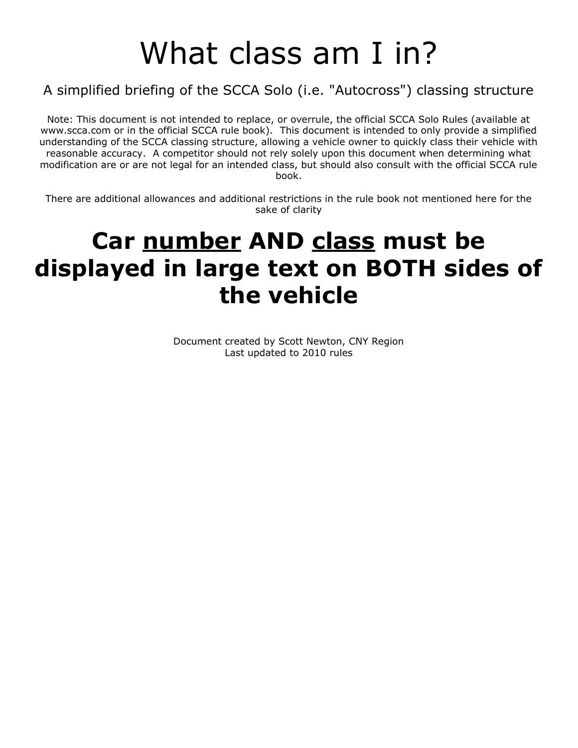### What class am I in?

### A simplified briefing of the SCCA Solo (i.e. "Autocross") classing structure

Note: This document is not intended to replace, or overrule, the official SCCA Solo Rules (available at www.scca.com or in the official SCCA rule book). This document is intended to only provide a simplified understanding of the SCCA classing structure, allowing a vehicle owner to quickly class their vehicle with reasonable accuracy. A competitor should not rely solely upon this document when determining what modification are or are not legal for an intended class, but should also consult with the official SCCA rule book.

There are additional allowances and additional restrictions in the rule book not mentioned here for the sake of clarity

### **Car number AND class must be displayed in large text on BOTH sides of the vehicle**

Document created by Scott Newton, CNY Region Last updated to 2010 rules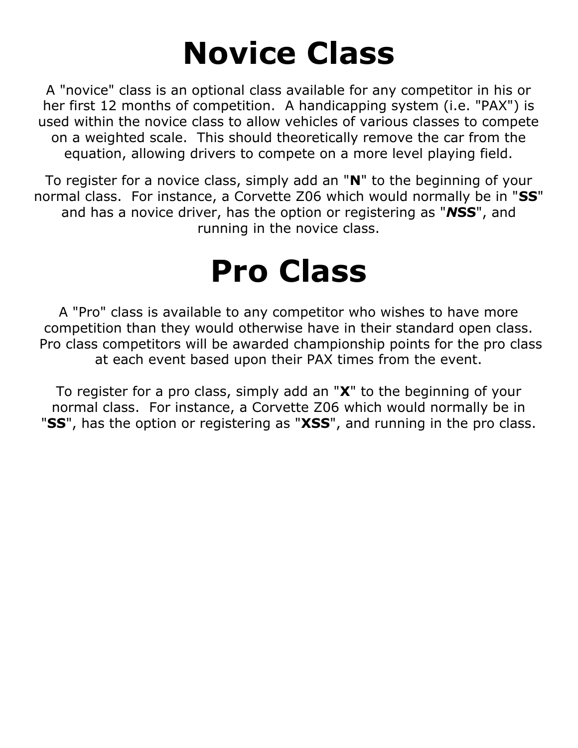## **Novice Class**

A "novice" class is an optional class available for any competitor in his or her first 12 months of competition. A handicapping system (i.e. "PAX") is used within the novice class to allow vehicles of various classes to compete on a weighted scale. This should theoretically remove the car from the equation, allowing drivers to compete on a more level playing field.

To register for a novice class, simply add an "**N**" to the beginning of your normal class. For instance, a Corvette Z06 which would normally be in "**SS**" and has a novice driver, has the option or registering as "*N***SS**", and running in the novice class.

### **Pro Class**

A "Pro" class is available to any competitor who wishes to have more competition than they would otherwise have in their standard open class. Pro class competitors will be awarded championship points for the pro class at each event based upon their PAX times from the event.

To register for a pro class, simply add an "**X**" to the beginning of your normal class. For instance, a Corvette Z06 which would normally be in "**SS**", has the option or registering as "**XSS**", and running in the pro class.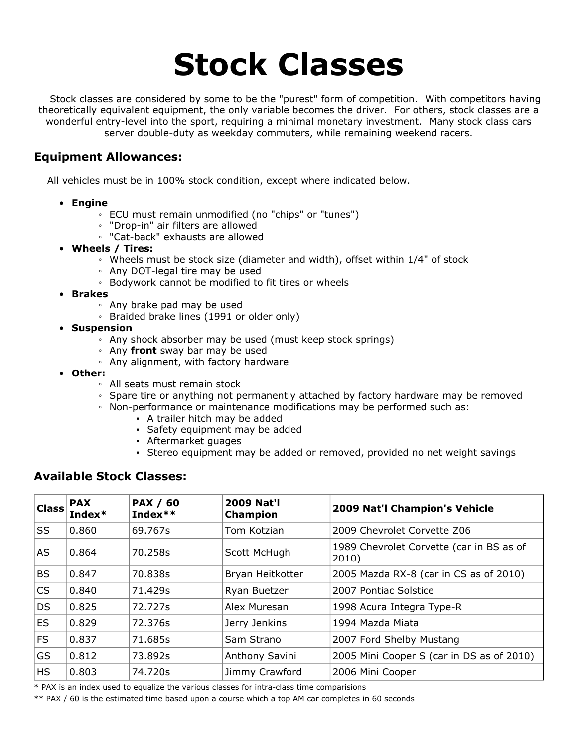### **Stock Classes**

Stock classes are considered by some to be the "purest" form of competition. With competitors having theoretically equivalent equipment, the only variable becomes the driver. For others, stock classes are a wonderful entry-level into the sport, requiring a minimal monetary investment. Many stock class cars server double-duty as weekday commuters, while remaining weekend racers.

#### **Equipment Allowances:**

All vehicles must be in 100% stock condition, except where indicated below.

- **Engine**
	- ECU must remain unmodified (no "chips" or "tunes")
	- "Drop-in" air filters are allowed
	- "Cat-back" exhausts are allowed
- **Wheels / Tires:**
	- Wheels must be stock size (diameter and width), offset within 1/4" of stock
	- Any DOT-legal tire may be used
	- Bodywork cannot be modified to fit tires or wheels
- **Brakes**
	- Any brake pad may be used
	- Braided brake lines (1991 or older only)
- **Suspension**
	- Any shock absorber may be used (must keep stock springs)
	- Any **front** sway bar may be used
	- Any alignment, with factory hardware
- **Other:**
	- All seats must remain stock
	- Spare tire or anything not permanently attached by factory hardware may be removed
	- Non-performance or maintenance modifications may be performed such as:
		- A trailer hitch may be added
		- Safety equipment may be added
		- Aftermarket guages
		- Stereo equipment may be added or removed, provided no net weight savings

### **Available Stock Classes:**

| <b>Class</b> | <b>PAX</b><br>Index* | <b>PAX / 60</b><br>Index** | <b>2009 Nat'l</b><br><b>Champion</b> | 2009 Nat'l Champion's Vehicle                     |
|--------------|----------------------|----------------------------|--------------------------------------|---------------------------------------------------|
| SS           | 0.860                | 69.767s                    | Tom Kotzian                          | 2009 Chevrolet Corvette Z06                       |
| <b>AS</b>    | 0.864                | 70.258s                    | Scott McHugh                         | 1989 Chevrolet Corvette (car in BS as of<br>2010) |
| <b>BS</b>    | 0.847                | 70.838s                    | Bryan Heitkotter                     | 2005 Mazda RX-8 (car in CS as of 2010)            |
| <b>CS</b>    | 0.840                | 71.429s                    | Ryan Buetzer                         | 2007 Pontiac Solstice                             |
| <b>DS</b>    | 0.825                | 72.727s                    | Alex Muresan                         | 1998 Acura Integra Type-R                         |
| <b>ES</b>    | 0.829                | 72.376s                    | Jerry Jenkins                        | 1994 Mazda Miata                                  |
| <b>FS</b>    | 0.837                | 71.685s                    | Sam Strano                           | 2007 Ford Shelby Mustang                          |
| GS           | 0.812                | 73.892s                    | Anthony Savini                       | 2005 Mini Cooper S (car in DS as of 2010)         |
| <b>HS</b>    | 0.803                | 74.720s                    | Jimmy Crawford                       | 2006 Mini Cooper                                  |

\* PAX is an index used to equalize the various classes for intra-class time comparisions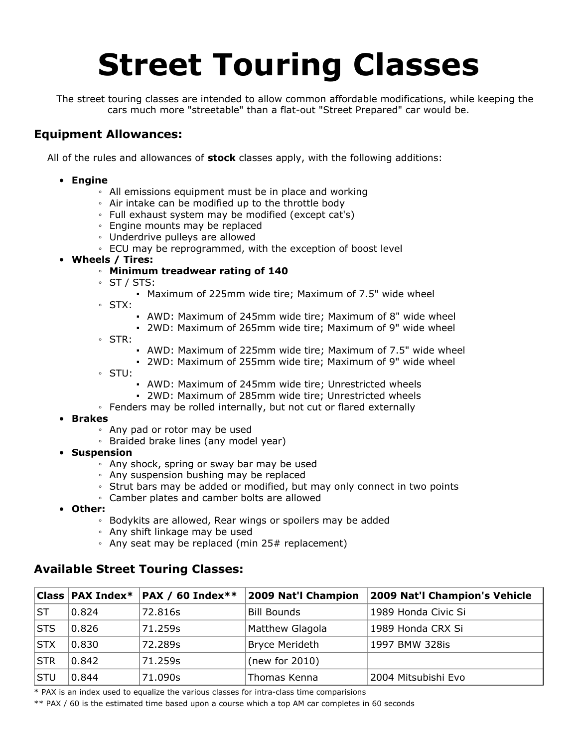# **Street Touring Classes**

The street touring classes are intended to allow common affordable modifications, while keeping the cars much more "streetable" than a flat-out "Street Prepared" car would be.

### **Equipment Allowances:**

All of the rules and allowances of **stock** classes apply, with the following additions:

#### • **Engine**

- All emissions equipment must be in place and working
- Air intake can be modified up to the throttle body
- Full exhaust system may be modified (except cat's)
- Engine mounts may be replaced
- Underdrive pulleys are allowed
- ECU may be reprogrammed, with the exception of boost level
- **Wheels / Tires:**

#### ◦ **Minimum treadwear rating of 140**

- ST / STS:
	- Maximum of 225mm wide tire; Maximum of 7.5" wide wheel
- STX:
	- AWD: Maximum of 245mm wide tire; Maximum of 8" wide wheel
	- 2WD: Maximum of 265mm wide tire; Maximum of 9" wide wheel
- STR:
	- AWD: Maximum of 225mm wide tire; Maximum of 7.5" wide wheel
	- 2WD: Maximum of 255mm wide tire; Maximum of 9" wide wheel
- STU:
- AWD: Maximum of 245mm wide tire; Unrestricted wheels
- 2WD: Maximum of 285mm wide tire; Unrestricted wheels
- Fenders may be rolled internally, but not cut or flared externally

#### • **Brakes**

- Any pad or rotor may be used
- Braided brake lines (any model year)
- **Suspension**
	- Any shock, spring or sway bar may be used
	- Any suspension bushing may be replaced
	- Strut bars may be added or modified, but may only connect in two points
	- Camber plates and camber bolts are allowed
- **Other:**
	- Bodykits are allowed, Rear wings or spoilers may be added
	- Any shift linkage may be used
	- Any seat may be replaced (min 25# replacement)

### **Available Street Touring Classes:**

|            |       | Class   PAX Index*   PAX / 60 Index** | 2009 Nat'l Champion | 2009 Nat'l Champion's Vehicle |
|------------|-------|---------------------------------------|---------------------|-------------------------------|
| ST         | 0.824 | 72.816s                               | Bill Bounds         | 1989 Honda Civic Si           |
| <b>STS</b> | 0.826 | 71.259s                               | Matthew Glagola     | 1989 Honda CRX Si             |
| <b>STX</b> | 0.830 | 72.289s                               | Bryce Merideth      | 1997 BMW 328is                |
| <b>STR</b> | 0.842 | 71.259s                               | (new for 2010)      |                               |
| <b>STU</b> | 0.844 | 71.090s                               | Thomas Kenna        | 2004 Mitsubishi Evo           |

\* PAX is an index used to equalize the various classes for intra-class time comparisions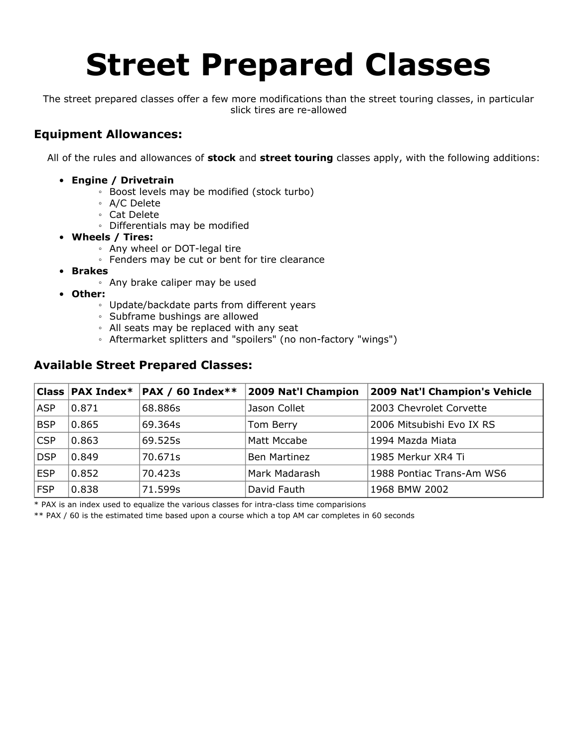## **Street Prepared Classes**

The street prepared classes offer a few more modifications than the street touring classes, in particular slick tires are re-allowed

### **Equipment Allowances:**

All of the rules and allowances of **stock** and **street touring** classes apply, with the following additions:

- **Engine / Drivetrain**
	- Boost levels may be modified (stock turbo)
	- A/C Delete
	- Cat Delete
	- Differentials may be modified
- **Wheels / Tires:**
	- Any wheel or DOT-legal tire
	- Fenders may be cut or bent for tire clearance
- **Brakes**
	- Any brake caliper may be used
- **Other:**
	- Update/backdate parts from different years
	- Subframe bushings are allowed
	- All seats may be replaced with any seat
	- Aftermarket splitters and "spoilers" (no non-factory "wings")

### **Available Street Prepared Classes:**

|            | Class $\vert$ PAX Index* | $\mathsf{PAX}$ / 60 Index** | 2009 Nat'l Champion | 2009 Nat'l Champion's Vehicle |
|------------|--------------------------|-----------------------------|---------------------|-------------------------------|
| <b>ASP</b> | 0.871                    | 68.886s                     | Jason Collet        | 2003 Chevrolet Corvette       |
| <b>BSP</b> | 0.865                    | 69.364s                     | Tom Berry           | 2006 Mitsubishi Evo IX RS     |
| <b>CSP</b> | 0.863                    | 69.525s                     | Matt Mccabe         | 1994 Mazda Miata              |
| <b>DSP</b> | 0.849                    | 70.671s                     | Ben Martinez        | 1985 Merkur XR4 Ti            |
| <b>ESP</b> | 0.852                    | 70.423s                     | Mark Madarash       | 1988 Pontiac Trans-Am WS6     |
| <b>FSP</b> | 0.838                    | 71.599s                     | David Fauth         | 1968 BMW 2002                 |

\* PAX is an index used to equalize the various classes for intra-class time comparisions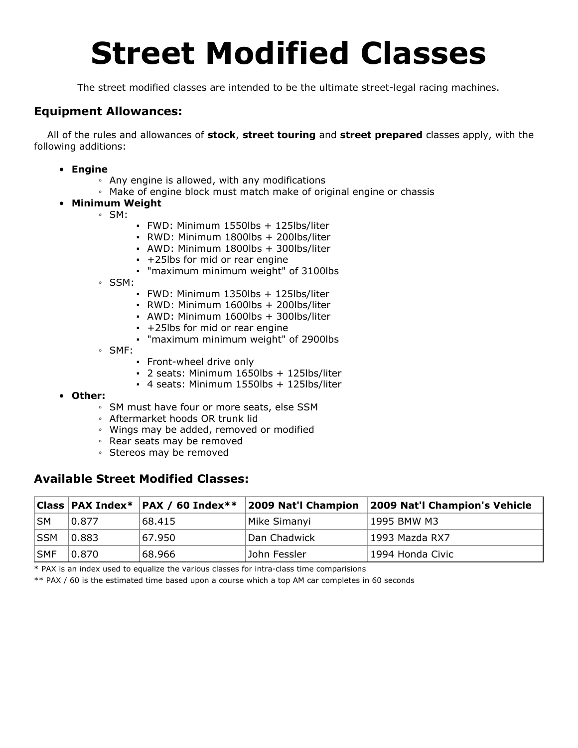### **Street Modified Classes**

The street modified classes are intended to be the ultimate street-legal racing machines.

### **Equipment Allowances:**

All of the rules and allowances of **stock**, **street touring** and **street prepared** classes apply, with the following additions:

- **Engine**
	- Any engine is allowed, with any modifications
	- Make of engine block must match make of original engine or chassis
- **Minimum Weight**
	- SM:
- FWD: Minimum 1550lbs + 125lbs/liter
- RWD: Minimum 1800lbs + 200lbs/liter
- AWD: Minimum 1800lbs + 300lbs/liter
- +25lbs for mid or rear engine
- "maximum minimum weight" of 3100lbs
- SSM:
	- FWD: Minimum 1350lbs + 125lbs/liter
	- RWD: Minimum 1600lbs + 200lbs/liter
	- AWD: Minimum 1600lbs + 300lbs/liter
	- +25lbs for mid or rear engine
	- "maximum minimum weight" of 2900lbs
- SMF:
	- Front-wheel drive only
	- 2 seats: Minimum 1650lbs + 125lbs/liter
	- 4 seats: Minimum 1550lbs + 125lbs/liter
- **Other:**
	- SM must have four or more seats, else SSM
	- Aftermarket hoods OR trunk lid
	- Wings may be added, removed or modified
	- Rear seats may be removed
	- Stereos may be removed

#### **Available Street Modified Classes:**

|     |       | $ Class PAX Index^* PAX / 60 Index^{**} $ | 2009 Nat'l Champion | 2009 Nat'l Champion's Vehicle |
|-----|-------|-------------------------------------------|---------------------|-------------------------------|
| ∣SM | 0.877 | 68.415                                    | Mike Simanyi        | 1995 BMW M3                   |
| SSM | 0.883 | 67.950                                    | Dan Chadwick        | ∣1993 Mazda RX7               |
| SMF | 0.870 | 68.966                                    | John Fessler        | 1994 Honda Civic              |

\* PAX is an index used to equalize the various classes for intra-class time comparisions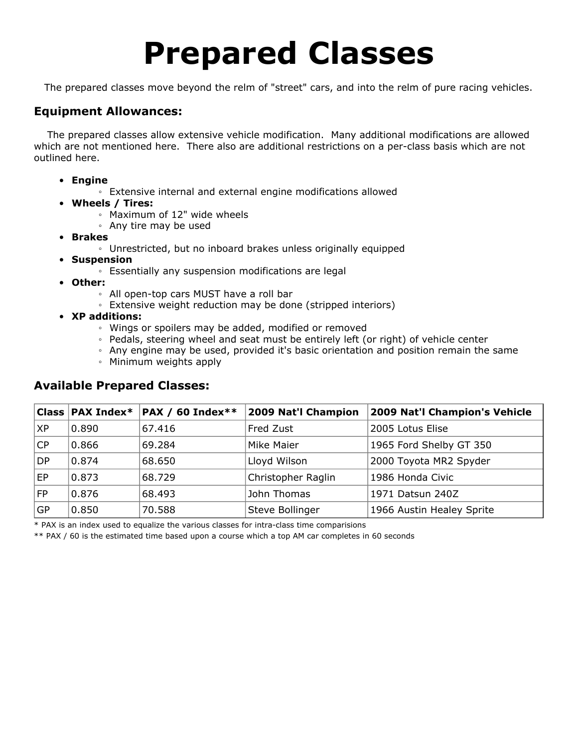### **Prepared Classes**

The prepared classes move beyond the relm of "street" cars, and into the relm of pure racing vehicles.

### **Equipment Allowances:**

The prepared classes allow extensive vehicle modification. Many additional modifications are allowed which are not mentioned here. There also are additional restrictions on a per-class basis which are not outlined here.

- **Engine**
	- Extensive internal and external engine modifications allowed
- **Wheels / Tires:**
	- Maximum of 12" wide wheels
	- Any tire may be used
- **Brakes**
	- Unrestricted, but no inboard brakes unless originally equipped
- **Suspension**
	- Essentially any suspension modifications are legal
- **Other:**
	- All open-top cars MUST have a roll bar
	- Extensive weight reduction may be done (stripped interiors)
- **XP additions:**
	- Wings or spoilers may be added, modified or removed
	- Pedals, steering wheel and seat must be entirely left (or right) of vehicle center
	- Any engine may be used, provided it's basic orientation and position remain the same
	- Minimum weights apply

### **Available Prepared Classes:**

|           |       | Class   PAX Index*   PAX / 60 Index** | 2009 Nat'l Champion | 2009 Nat'l Champion's Vehicle |
|-----------|-------|---------------------------------------|---------------------|-------------------------------|
| <b>XP</b> | 0.890 | 67.416                                | <b>Fred Zust</b>    | 2005 Lotus Elise              |
| CP        | 0.866 | 69.284                                | <b>Mike Maier</b>   | 1965 Ford Shelby GT 350       |
| DP        | 0.874 | 68.650                                | Lloyd Wilson        | 2000 Toyota MR2 Spyder        |
| EP        | 0.873 | 68.729                                | Christopher Raglin  | 1986 Honda Civic              |
| FP.       | 0.876 | 68.493                                | John Thomas         | 1971 Datsun 240Z              |
| GP        | 0.850 | 70.588                                | Steve Bollinger     | 1966 Austin Healey Sprite     |

\* PAX is an index used to equalize the various classes for intra-class time comparisions